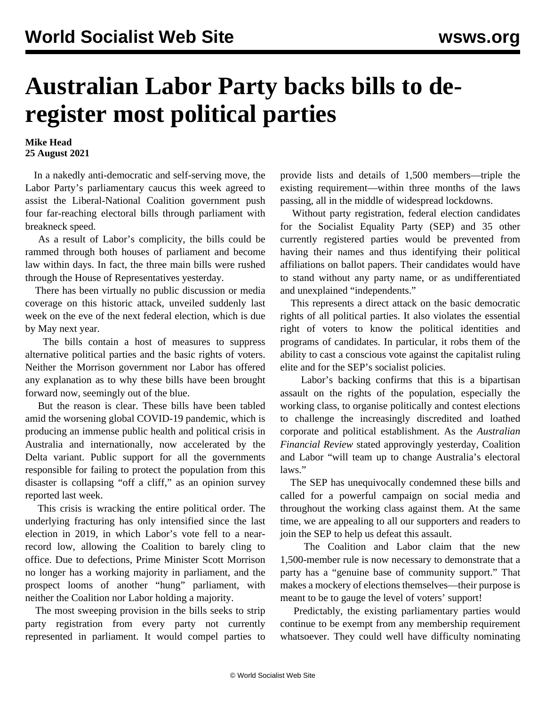## **Australian Labor Party backs bills to deregister most political parties**

## **Mike Head 25 August 2021**

 In a nakedly anti-democratic and self-serving move, the Labor Party's parliamentary caucus this week agreed to assist the Liberal-National Coalition government push four far-reaching electoral bills through parliament with breakneck speed.

 As a result of Labor's complicity, the bills could be rammed through both houses of parliament and become law within days. In fact, the three main bills were rushed through the House of Representatives yesterday.

 There has been virtually no public discussion or media coverage on this historic attack, unveiled suddenly last week on the eve of the next federal election, which is due by May next year.

 The bills contain a host of measures to suppress alternative political parties and the basic rights of voters. Neither the Morrison government nor Labor has offered any explanation as to why these bills have been brought forward now, seemingly out of the blue.

 But the reason is clear. These bills have been tabled amid the worsening global COVID-19 pandemic, which is producing an immense public health and political crisis in Australia and internationally, now accelerated by the Delta variant. Public support for all the governments responsible for failing to protect the population from this disaster is collapsing "off a cliff," as an opinion survey reported last week.

 This crisis is wracking the entire political order. The underlying fracturing has only intensified since the last election in 2019, in which Labor's vote fell to a nearrecord low, allowing the Coalition to barely cling to office. Due to defections, Prime Minister Scott Morrison no longer has a working majority in parliament, and the prospect looms of another "hung" parliament, with neither the Coalition nor Labor holding a majority.

 The most sweeping provision in the bills seeks to strip party registration from every party not currently represented in parliament. It would compel parties to provide lists and details of 1,500 members—triple the existing requirement—within three months of the laws passing, all in the middle of widespread lockdowns.

 Without party registration, federal election candidates for the Socialist Equality Party (SEP) and 35 other currently registered parties would be prevented from having their names and thus identifying their political affiliations on ballot papers. Their candidates would have to stand without any party name, or as undifferentiated and unexplained "independents."

 This represents a direct attack on the basic democratic rights of all political parties. It also violates the essential right of voters to know the political identities and programs of candidates. In particular, it robs them of the ability to cast a conscious vote against the capitalist ruling elite and for the SEP's socialist policies.

 Labor's backing confirms that this is a bipartisan assault on the rights of the population, especially the working class, to organise politically and contest elections to challenge the increasingly discredited and loathed corporate and political establishment. As the *Australian Financial Review* stated approvingly yesterday, Coalition and Labor "will team up to change Australia's electoral laws."

 The SEP has unequivocally condemned these bills and called for a powerful campaign on social media and throughout the working class against them. At the same time, we are appealing to all our supporters and readers to join the SEP to help us defeat this assault.

 The Coalition and Labor claim that the new 1,500-member rule is now necessary to demonstrate that a party has a "genuine base of community support." That makes a mockery of elections themselves—their purpose is meant to be to gauge the level of voters' support!

 Predictably, the existing parliamentary parties would continue to be exempt from any membership requirement whatsoever. They could well have difficulty nominating